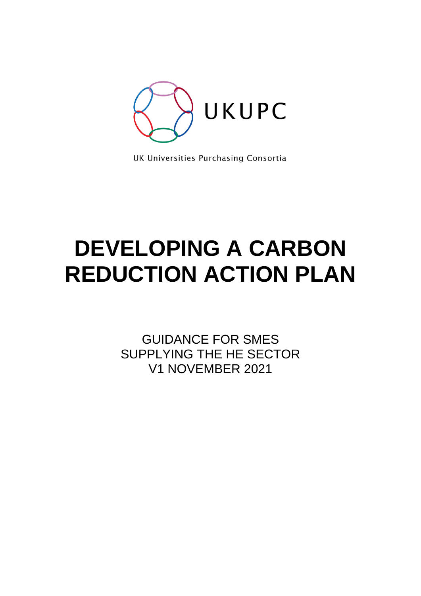

UK Universities Purchasing Consortia

# **DEVELOPING A CARBON REDUCTION ACTION PLAN**

GUIDANCE FOR SMES SUPPLYING THE HE SECTOR V1 NOVEMBER 2021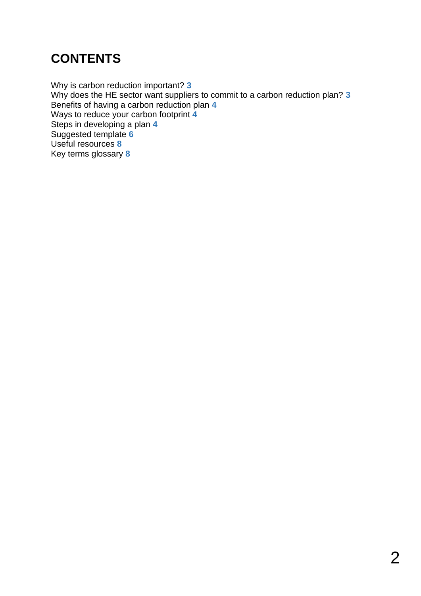## **CONTENTS**

Why is carbon reduction important? **3** Why does the HE sector want suppliers to commit to a carbon reduction plan? **3** Benefits of having a carbon reduction plan **4** Ways to reduce your carbon footprint **4** Steps in developing a plan **4** Suggested template **6** Useful resources **8** Key terms glossary **8**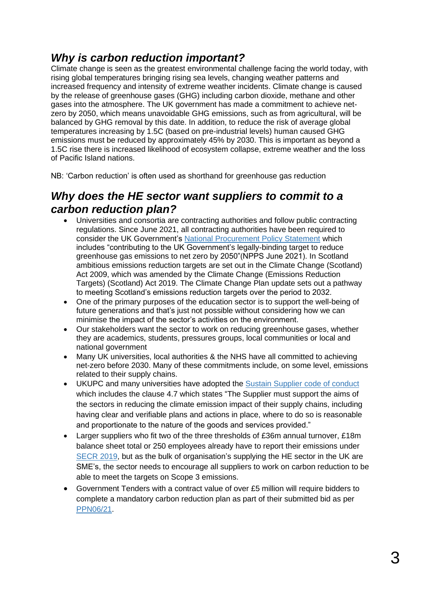### *Why is carbon reduction important?*

Climate change is seen as the greatest environmental challenge facing the world today, with rising global temperatures bringing rising sea levels, changing weather patterns and increased frequency and intensity of extreme weather incidents. Climate change is caused by the release of greenhouse gases (GHG) including carbon dioxide, methane and other gases into the atmosphere. The UK government has made a commitment to achieve netzero by 2050, which means unavoidable GHG emissions, such as from agricultural, will be balanced by GHG removal by this date. In addition, to reduce the risk of average global temperatures increasing by 1.5C (based on pre-industrial levels) human caused GHG emissions must be reduced by approximately 45% by 2030. This is important as beyond a 1.5C rise there is increased likelihood of ecosystem collapse, extreme weather and the loss of Pacific Island nations.

NB: 'Carbon reduction' is often used as shorthand for greenhouse gas reduction

### *Why does the HE sector want suppliers to commit to a carbon reduction plan?*

- Universities and consortia are contracting authorities and follow public contracting regulations. Since June 2021, all contracting authorities have been required to consider the UK Government's [National Procurement](https://assets.publishing.service.gov.uk/government/uploads/system/uploads/attachment_data/file/990289/National_Procurement_Policy_Statement.pdf) Policy Statement which includes "contributing to the UK Government's legally-binding target to reduce greenhouse gas emissions to net zero by 2050"(NPPS June 2021). In Scotland ambitious emissions reduction targets are set out in the Climate Change (Scotland) Act 2009, which was amended by the Climate Change (Emissions Reduction Targets) (Scotland) Act 2019. The Climate Change Plan update sets out a pathway to meeting Scotland's emissions reduction targets over the period to 2032.
- One of the primary purposes of the education sector is to support the well-being of future generations and that's just not possible without considering how we can minimise the impact of the sector's activities on the environment.
- Our stakeholders want the sector to work on reducing greenhouse gases, whether they are academics, students, pressures groups, local communities or local and national government
- Many UK universities, local authorities & the NHS have all committed to achieving net-zero before 2030. Many of these commitments include, on some level, emissions related to their supply chains.
- UKUPC and many universities have adopted the [Sustain Supplier code of conduct](https://www.ukupc.ac.uk/responsible%20procurement.html) which includes the clause 4.7 which states "The Supplier must support the aims of the sectors in reducing the climate emission impact of their supply chains, including having clear and verifiable plans and actions in place, where to do so is reasonable and proportionate to the nature of the goods and services provided."
- Larger suppliers who fit two of the three thresholds of £36m annual turnover, £18m balance sheet total or 250 employees already have to report their emissions under [SECR 2019,](https://www.carbontrust.com/news-and-events/insights/secr-explained-streamlined-energy-carbon-reporting-framework-for-uk) but as the bulk of organisation's supplying the HE sector in the UK are SME's, the sector needs to encourage all suppliers to work on carbon reduction to be able to meet the targets on Scope 3 emissions.
- Government Tenders with a contract value of over £5 million will require bidders to complete a mandatory carbon reduction plan as part of their submitted bid as per [PPN06/21](https://www.gov.uk/government/publications/procurement-policy-note-0621-taking-account-of-carbon-reduction-plans-in-the-procurement-of-major-government-contracts).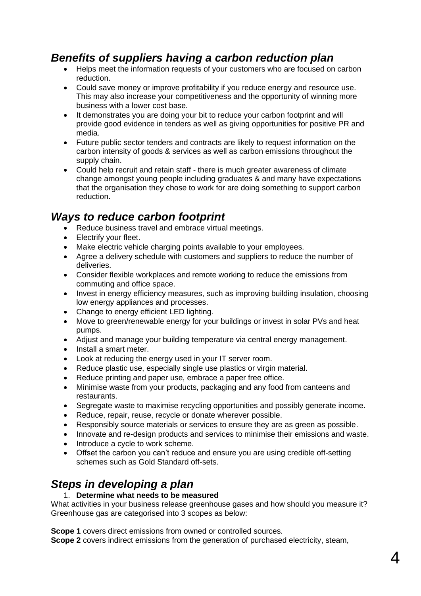### *Benefits of suppliers having a carbon reduction plan*

- Helps meet the information requests of your customers who are focused on carbon reduction.
- Could save money or improve profitability if you reduce energy and resource use. This may also increase your competitiveness and the opportunity of winning more business with a lower cost base.
- It demonstrates you are doing your bit to reduce your carbon footprint and will provide good evidence in tenders as well as giving opportunities for positive PR and media.
- Future public sector tenders and contracts are likely to request information on the carbon intensity of goods & services as well as carbon emissions throughout the supply chain.
- Could help recruit and retain staff there is much greater awareness of climate change amongst young people including graduates & and many have expectations that the organisation they chose to work for are doing something to support carbon reduction.

### *Ways to reduce carbon footprint*

- Reduce business travel and embrace virtual meetings.
- Electrify your fleet.
- Make electric vehicle charging points available to your employees.
- Agree a delivery schedule with customers and suppliers to reduce the number of deliveries.
- Consider flexible workplaces and remote working to reduce the emissions from commuting and office space.
- Invest in energy efficiency measures, such as improving building insulation, choosing low energy appliances and processes.
- Change to energy efficient LED lighting.
- Move to green/renewable energy for your buildings or invest in solar PVs and heat pumps.
- Adjust and manage your building temperature via central energy management.
- Install a smart meter.
- Look at reducing the energy used in your IT server room.
- Reduce plastic use, especially single use plastics or virgin material.
- Reduce printing and paper use, embrace a paper free office.
- Minimise waste from your products, packaging and any food from canteens and restaurants.
- Segregate waste to maximise recycling opportunities and possibly generate income.
- Reduce, repair, reuse, recycle or donate wherever possible.
- Responsibly source materials or services to ensure they are as green as possible.
- Innovate and re-design products and services to minimise their emissions and waste.
- Introduce a cycle to work scheme.
- Offset the carbon you can't reduce and ensure you are using credible off-setting schemes such as Gold Standard off-sets.

### *Steps in developing a plan*

#### 1. **Determine what needs to be measured**

What activities in your business release greenhouse gases and how should you measure it? Greenhouse gas are categorised into 3 scopes as below:

**Scope 1** covers direct emissions from owned or controlled sources.

**Scope 2** covers indirect emissions from the generation of purchased electricity, steam,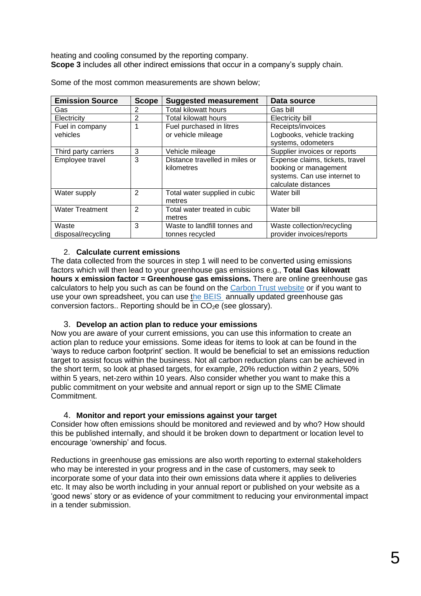heating and cooling consumed by the reporting company. **Scope 3** includes all other indirect emissions that occur in a company's supply chain.

| <b>Emission Source</b> | <b>Scope</b>   | <b>Suggested measurement</b>                  | Data source                     |
|------------------------|----------------|-----------------------------------------------|---------------------------------|
| Gas                    | 2              | <b>Total kilowatt hours</b>                   | Gas bill                        |
| Electricity            | $\overline{2}$ | <b>Total kilowatt hours</b>                   | Electricity bill                |
| Fuel in company        |                | Fuel purchased in litres<br>Receipts/invoices |                                 |
| vehicles               |                | or vehicle mileage                            | Logbooks, vehicle tracking      |
|                        |                |                                               | systems, odometers              |
| Third party carriers   | 3              | Vehicle mileage                               | Supplier invoices or reports    |
| Employee travel        | 3              | Distance travelled in miles or                | Expense claims, tickets, travel |
|                        |                | kilometres                                    | booking or management           |
|                        |                |                                               | systems. Can use internet to    |
|                        |                |                                               | calculate distances             |
| Water supply           | 2              | Total water supplied in cubic                 | Water bill                      |
|                        |                | metres                                        |                                 |
| <b>Water Treatment</b> | 2              | Total water treated in cubic                  | Water bill                      |
|                        |                | metres                                        |                                 |
| Waste                  | 3              | Waste to landfill tonnes and                  | Waste collection/recycling      |
| disposal/recycling     |                | tonnes recycled                               | provider invoices/reports       |

Some of the most common measurements are shown below;

#### 2. **Calculate current emissions**

The data collected from the sources in step 1 will need to be converted using emissions factors which will then lead to your greenhouse gas emissions e.g., **Total Gas kilowatt hours x emission factor = Greenhouse gas emissions.** There are online greenhouse gas calculators to help you such as can be found on the [Carbon Trust website](https://www.carbontrust.com/resources/sme-carbon-footprint-calculator) or if you want to use your own spreadsheet, you can use [the BEIS](https://my2050.beis.gov.uk/?levers=111111111111111) annually updated greenhouse gas conversion factors.. Reporting should be in  $CO<sub>2</sub>e$  (see glossary).

#### 3. **Develop an action plan to reduce your emissions**

Now you are aware of your current emissions, you can use this information to create an action plan to reduce your emissions. Some ideas for items to look at can be found in the 'ways to reduce carbon footprint' section. It would be beneficial to set an emissions reduction target to assist focus within the business. Not all carbon reduction plans can be achieved in the short term, so look at phased targets, for example, 20% reduction within 2 years, 50% within 5 years, net-zero within 10 years. Also consider whether you want to make this a public commitment on your website and annual report or sign up to the SME Climate **Commitment** 

#### 4. **Monitor and report your emissions against your target**

Consider how often emissions should be monitored and reviewed and by who? How should this be published internally, and should it be broken down to department or location level to encourage 'ownership' and focus.

Reductions in greenhouse gas emissions are also worth reporting to external stakeholders who may be interested in your progress and in the case of customers, may seek to incorporate some of your data into their own emissions data where it applies to deliveries etc. It may also be worth including in your annual report or published on your website as a 'good news' story or as evidence of your commitment to reducing your environmental impact in a tender submission.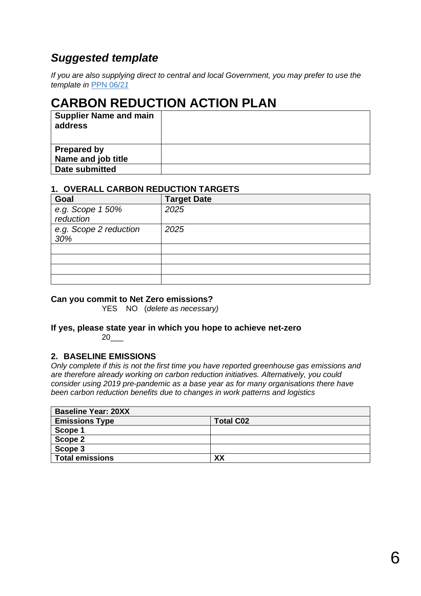### *Suggested template*

*If you are also supplying direct to central and local Government, you may prefer to use the template in* [PPN 06/2](https://www.gov.uk/government/publications/procurement-policy-note-0621-taking-account-of-carbon-reduction-plans-in-the-procurement-of-major-government-contracts)*1*

### **CARBON REDUCTION ACTION PLAN**

| <b>Supplier Name and main</b><br>address |  |
|------------------------------------------|--|
| <b>Prepared by</b>                       |  |
| Name and job title                       |  |
| Date submitted                           |  |

#### **1. OVERALL CARBON REDUCTION TARGETS**

| Goal                          | <b>Target Date</b> |
|-------------------------------|--------------------|
| e.g. Scope 1 50%<br>reduction | 2025               |
| e.g. Scope 2 reduction<br>30% | 2025               |
|                               |                    |
|                               |                    |
|                               |                    |
|                               |                    |

#### **Can you commit to Net Zero emissions?**

YES NO (*delete as necessary)*

#### **If yes, please state year in which you hope to achieve net-zero** 20\_\_\_

### **2. BASELINE EMISSIONS**

*Only complete if this is not the first time you have reported greenhouse gas emissions and are therefore already working on carbon reduction initiatives. Alternatively, you could consider using 2019 pre-pandemic as a base year as for many organisations there have been carbon reduction benefits due to changes in work patterns and logistics*

| <b>Baseline Year: 20XX</b> |                  |  |  |  |
|----------------------------|------------------|--|--|--|
| <b>Emissions Type</b>      | <b>Total C02</b> |  |  |  |
| Scope 1                    |                  |  |  |  |
| Scope 2                    |                  |  |  |  |
| Scope 3                    |                  |  |  |  |
| <b>Total emissions</b>     | XX               |  |  |  |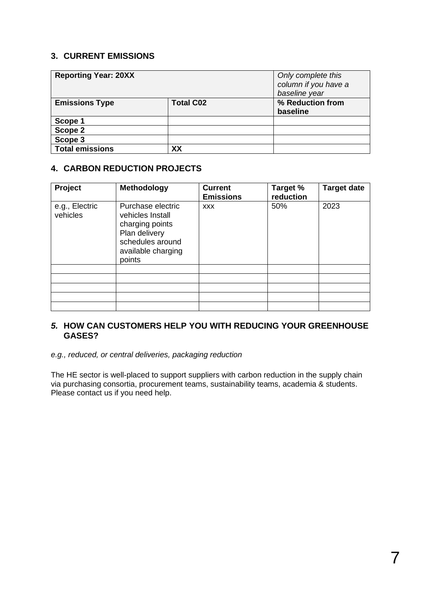#### **3. CURRENT EMISSIONS**

| <b>Reporting Year: 20XX</b> |                  | Only complete this<br>column if you have a<br>baseline year |
|-----------------------------|------------------|-------------------------------------------------------------|
| <b>Emissions Type</b>       | <b>Total C02</b> | % Reduction from<br>baseline                                |
|                             |                  |                                                             |
| Scope 1                     |                  |                                                             |
| Scope 2                     |                  |                                                             |
| Scope 3                     |                  |                                                             |
| <b>Total emissions</b>      | XX               |                                                             |

### **4. CARBON REDUCTION PROJECTS**

| Project                    | <b>Methodology</b>                                                                                                            | <b>Current</b><br><b>Emissions</b> | Target %<br>reduction | <b>Target date</b> |
|----------------------------|-------------------------------------------------------------------------------------------------------------------------------|------------------------------------|-----------------------|--------------------|
| e.g., Electric<br>vehicles | Purchase electric<br>vehicles Install<br>charging points<br>Plan delivery<br>schedules around<br>available charging<br>points | <b>XXX</b>                         | 50%                   | 2023               |
|                            |                                                                                                                               |                                    |                       |                    |
|                            |                                                                                                                               |                                    |                       |                    |
|                            |                                                                                                                               |                                    |                       |                    |
|                            |                                                                                                                               |                                    |                       |                    |
|                            |                                                                                                                               |                                    |                       |                    |

#### *5.* **HOW CAN CUSTOMERS HELP YOU WITH REDUCING YOUR GREENHOUSE GASES?**

#### *e.g., reduced, or central deliveries, packaging reduction*

The HE sector is well-placed to support suppliers with carbon reduction in the supply chain via purchasing consortia, procurement teams, sustainability teams, academia & students. Please contact us if you need help.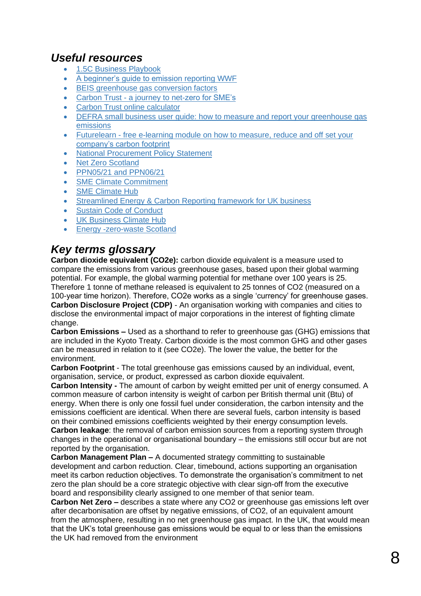### *Useful resources*

- [1.5C Business Playbook](https://exponentialroadmap.org/1-5c-business-playbook/)
- [A beginner's guide to emission reporting WWF](https://www.wwf.org.uk/emission-possible?utm_source=Emission%20Possible&utm_medium=tool-highlights&utm_campaign=SMECH%20A)
- BEIS [greenhouse gas conversion factors](https://www.gov.uk/government/publications/greenhouse-gas-reporting-conversion-factors-2020)
- Carbon Trust [a journey to net-zero for SME's](https://www.carbontrust.com/resources/the-journey-to-net-zero-for-smes)
- [Carbon Trust online calculator](https://www.carbontrust.com/resources/sme-carbon-footprint-calculator)
- DEFRA small business user quide: how to measure and report your greenhouse gas [emissions](https://www.gov.uk/government/publications/small-business-user-guide-guidance-on-how-to-measure-and-report-your-greenhouse-gas-emissions)
- Futurelearn [free e-learning module on how to measure, reduce and off set your](https://www.futurelearn.com/courses/how-to-measure-reduce-and-offset-your-companys-carbon-footprint)  [company's carbon footprint](https://www.futurelearn.com/courses/how-to-measure-reduce-and-offset-your-companys-carbon-footprint)
- [National Procurement Policy Statement](https://www.gov.uk/government/publications/procurement-policy-note-0521-national-procurement-policy-statement)
- [Net Zero Scotland](https://www.netzeronation.scot/)
- [PPN05/21 and PPN06/21](https://www.gov.uk/government/collections/procurement-policy-notes#2021)
- [SME Climate Commitment](https://smeclimatehub.org/sme-climate-commitment/)
- [SME Climate Hub](https://businessclimatehub.org/smes/)
- [Streamlined Energy & Carbon Reporting framework for UK business](https://www.carbontrust.com/news-and-events/insights/secr-explained-streamlined-energy-carbon-reporting-framework-for-uk)
- [Sustain Code of Conduct](https://www.ukupc.ac.uk/responsible%20procurement.html)
- [UK Business Climate Hub](https://businessclimatehub.org/uk/)
- [Energy -zero-waste Scotland](https://energy.zerowastescotland.org.uk/)

### *Key terms glossary*

**Carbon dioxide equivalent (CO2e):** carbon dioxide equivalent is a measure used to compare the emissions from various greenhouse gases, based upon their global warming potential. For example, the global warming potential for methane over 100 years is 25. Therefore 1 tonne of methane released is equivalent to 25 tonnes of CO2 (measured on a 100-year time horizon). Therefore, CO2e works as a single 'currency' for greenhouse gases. **Carbon Disclosure Project (CDP)** - An organisation working with companies and cities to disclose the environmental impact of major corporations in the interest of fighting climate change.

**Carbon Emissions –** Used as a shorthand to refer to greenhouse gas (GHG) emissions that are included in the Kyoto Treaty. Carbon dioxide is the most common GHG and other gases can be measured in relation to it (see CO2e). The lower the value, the better for the environment.

**Carbon Footprint** - The total greenhouse gas emissions caused by an individual, event, organisation, service, or product, expressed as carbon dioxide equivalent.

**Carbon Intensity -** The amount of carbon by weight emitted per unit of energy consumed. A common measure of carbon intensity is weight of carbon per British thermal unit (Btu) of energy. When there is only one fossil fuel under consideration, the carbon intensity and the emissions coefficient are identical. When there are several fuels, carbon intensity is based on their combined emissions coefficients weighted by their energy consumption levels. **Carbon leakage**: the removal of carbon emission sources from a reporting system through changes in the operational or organisational boundary – the emissions still occur but are not reported by the organisation.

**Carbon Management Plan –** A documented strategy committing to sustainable development and carbon reduction. Clear, timebound, actions supporting an organisation meet its carbon reduction objectives. To demonstrate the organisation's commitment to net zero the plan should be a core strategic objective with clear sign-off from the executive board and responsibility clearly assigned to one member of that senior team.

**Carbon Net Zero –** describes a state where any CO2 or greenhouse gas emissions left over after decarbonisation are offset by negative emissions, of CO2, of an equivalent amount from the atmosphere, resulting in no net greenhouse gas impact. In the UK, that would mean that the UK's total greenhouse gas emissions would be equal to or less than the emissions the UK had removed from the environment